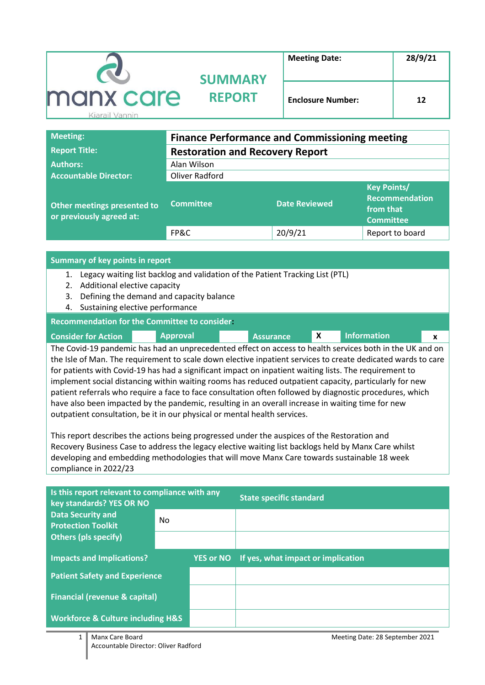|           | <b>SUMMARY</b> | <b>Meeting Date:</b>     | 28/9/21 |
|-----------|----------------|--------------------------|---------|
| manx care | <b>REPORT</b>  | <b>Enclosure Number:</b> | 12      |

| <b>Meeting:</b>                                         | <b>Finance Performance and Commissioning meeting</b> |                      |                                                                              |  |  |  |  |  |
|---------------------------------------------------------|------------------------------------------------------|----------------------|------------------------------------------------------------------------------|--|--|--|--|--|
| <b>Report Title:</b>                                    | <b>Restoration and Recovery Report</b>               |                      |                                                                              |  |  |  |  |  |
| <b>Authors:</b>                                         | Alan Wilson                                          |                      |                                                                              |  |  |  |  |  |
| <b>Accountable Director:</b>                            | Oliver Radford                                       |                      |                                                                              |  |  |  |  |  |
| Other meetings presented to<br>or previously agreed at: | <b>Committee</b>                                     | <b>Date Reviewed</b> | <b>Key Points/</b><br><b>Recommendation</b><br>from that<br><b>Committee</b> |  |  |  |  |  |
|                                                         | FP&C                                                 | 20/9/21              | Report to board                                                              |  |  |  |  |  |

#### **Summary of key points in report**

- 1. Legacy waiting list backlog and validation of the Patient Tracking List (PTL)
- 2. Additional elective capacity
- 3. Defining the demand and capacity balance
- 4. Sustaining elective performance

#### **Recommendation for the Committee to consider:**

| <b>Consider for Action</b> | <b>Approval</b> | <b>Assurance</b>                                                                                         | <b>Information</b> |  |
|----------------------------|-----------------|----------------------------------------------------------------------------------------------------------|--------------------|--|
|                            |                 | The Covid-19 pandemic has had an unprecedented effect on access to health services both in the UK and on |                    |  |

the Isle of Man. The requirement to scale down elective inpatient services to create dedicated wards to care for patients with Covid-19 has had a significant impact on inpatient waiting lists. The requirement to implement social distancing within waiting rooms has reduced outpatient capacity, particularly for new patient referrals who require a face to face consultation often followed by diagnostic procedures, which have also been impacted by the pandemic, resulting in an overall increase in waiting time for new outpatient consultation, be it in our physical or mental health services.

This report describes the actions being progressed under the auspices of the Restoration and Recovery Business Case to address the legacy elective waiting list backlogs held by Manx Care whilst developing and embedding methodologies that will move Manx Care towards sustainable 18 week compliance in 2022/23

| Is this report relevant to compliance with any<br>key standards? YES OR NO |     | <b>State specific standard</b>               |
|----------------------------------------------------------------------------|-----|----------------------------------------------|
| <b>Data Security and</b><br><b>Protection Toolkit</b>                      | No. |                                              |
| <b>Others (pls specify)</b>                                                |     |                                              |
| <b>Impacts and Implications?</b>                                           |     | YES or NO If yes, what impact or implication |
| <b>Patient Safety and Experience</b>                                       |     |                                              |
| <b>Financial (revenue &amp; capital)</b>                                   |     |                                              |
| <b>Workforce &amp; Culture including H&amp;S</b>                           |     |                                              |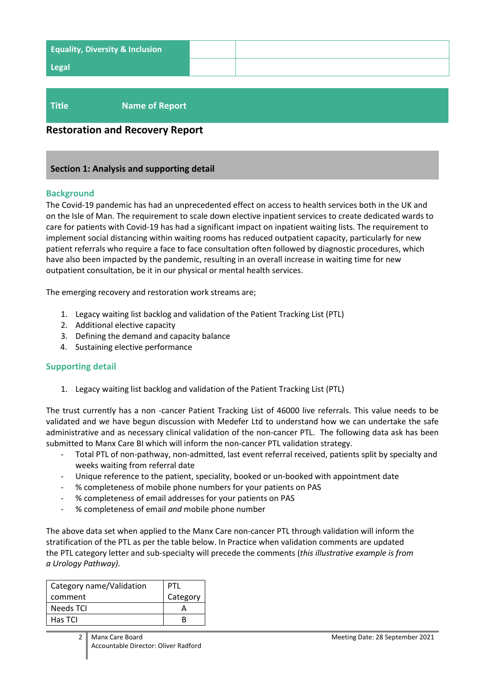| <b>Equality, Diversity &amp; Inclusion</b> |  |
|--------------------------------------------|--|
| <b>Legal</b>                               |  |
|                                            |  |

# **Title Name of Report**

# **Restoration and Recovery Report**

#### **Section 1: Analysis and supporting detail**

#### **Background**

The Covid-19 pandemic has had an unprecedented effect on access to health services both in the UK and on the Isle of Man. The requirement to scale down elective inpatient services to create dedicated wards to care for patients with Covid-19 has had a significant impact on inpatient waiting lists. The requirement to implement social distancing within waiting rooms has reduced outpatient capacity, particularly for new patient referrals who require a face to face consultation often followed by diagnostic procedures, which have also been impacted by the pandemic, resulting in an overall increase in waiting time for new outpatient consultation, be it in our physical or mental health services.

The emerging recovery and restoration work streams are;

- 1. Legacy waiting list backlog and validation of the Patient Tracking List (PTL)
- 2. Additional elective capacity
- 3. Defining the demand and capacity balance
- 4. Sustaining elective performance

### **Supporting detail**

1. Legacy waiting list backlog and validation of the Patient Tracking List (PTL)

The trust currently has a non -cancer Patient Tracking List of 46000 live referrals. This value needs to be validated and we have begun discussion with Medefer Ltd to understand how we can undertake the safe administrative and as necessary clinical validation of the non-cancer PTL. The following data ask has been submitted to Manx Care BI which will inform the non-cancer PTL validation strategy.

- Total PTL of non-pathway, non-admitted, last event referral received, patients split by specialty and weeks waiting from referral date
- Unique reference to the patient, speciality, booked or un-booked with appointment date
- % completeness of mobile phone numbers for your patients on PAS
- % completeness of email addresses for your patients on PAS
- % completeness of email *and* mobile phone number

The above data set when applied to the Manx Care non-cancer PTL through validation will inform the stratification of the PTL as per the table below. In Practice when validation comments are updated the PTL category letter and sub-specialty will precede the comments (*this illustrative example is from a Urology Pathway).* 

| Category name/Validation | PTL      |
|--------------------------|----------|
| comment                  | Category |
| <b>Needs TCI</b>         |          |
| Has TCI                  |          |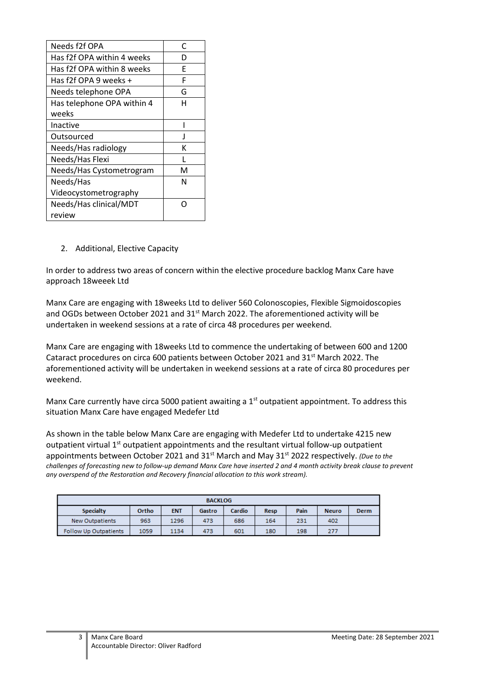| Needs f2f OPA              | C            |
|----------------------------|--------------|
| Has f2f OPA within 4 weeks | D            |
| Has f2f OPA within 8 weeks | F            |
| Has f2f OPA 9 weeks +      | F            |
| Needs telephone OPA        | G            |
| Has telephone OPA within 4 | н            |
| weeks                      |              |
| Inactive                   |              |
| Outsourced                 | $\mathbf{I}$ |
| Needs/Has radiology        | к            |
| Needs/Has Flexi            |              |
| Needs/Has Cystometrogram   | м            |
| Needs/Has                  | N            |
| Videocystometrography      |              |
| Needs/Has clinical/MDT     |              |
| review                     |              |

### 2. Additional, Elective Capacity

In order to address two areas of concern within the elective procedure backlog Manx Care have approach 18weeek Ltd

Manx Care are engaging with 18weeks Ltd to deliver 560 Colonoscopies, Flexible Sigmoidoscopies and OGDs between October 2021 and 31<sup>st</sup> March 2022. The aforementioned activity will be undertaken in weekend sessions at a rate of circa 48 procedures per weekend.

Manx Care are engaging with 18weeks Ltd to commence the undertaking of between 600 and 1200 Cataract procedures on circa 600 patients between October 2021 and 31<sup>st</sup> March 2022. The aforementioned activity will be undertaken in weekend sessions at a rate of circa 80 procedures per weekend.

Manx Care currently have circa 5000 patient awaiting a 1<sup>st</sup> outpatient appointment. To address this situation Manx Care have engaged Medefer Ltd

As shown in the table below Manx Care are engaging with Medefer Ltd to undertake 4215 new outpatient virtual  $1<sup>st</sup>$  outpatient appointments and the resultant virtual follow-up outpatient appointments between October 2021 and 31<sup>st</sup> March and May 31<sup>st</sup> 2022 respectively. *(Due to the challenges of forecasting new to follow-up demand Manx Care have inserted 2 and 4 month activity break clause to prevent any overspend of the Restoration and Recovery financial allocation to this work stream).*

| <b>BACKLOG</b>                                                                              |      |      |     |     |     |     |      |  |  |
|---------------------------------------------------------------------------------------------|------|------|-----|-----|-----|-----|------|--|--|
| Cardio<br>Pain<br><b>Specialty</b><br>Ortho<br><b>ENT</b><br>Gastro<br><b>Neuro</b><br>Resp |      |      |     |     |     |     | Derm |  |  |
| <b>New Outpatients</b>                                                                      | 963  | 1296 | 473 | 686 | 164 | 231 | 402  |  |  |
| <b>Follow Up Outpatients</b>                                                                | 1059 | 1134 | 473 | 601 | 180 | 198 | 277  |  |  |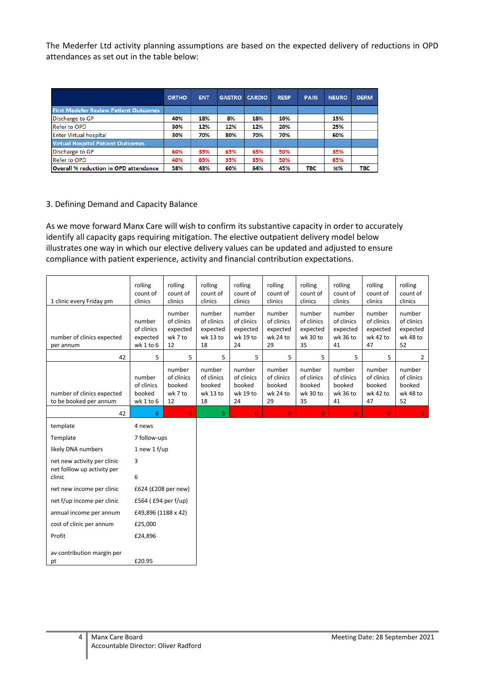The Mederfer Ltd activity planning assumptions are based on the expected delivery of reductions in OPD attendances as set out in the table below:

|                                              | <b>ORTHO</b> | <b>ENT</b> | <b>GASTRO</b> | <b>CARDIO</b> | <b>RESP</b> | <b>PAIN</b> | <b>NEURO</b> | <b>DERM</b> |
|----------------------------------------------|--------------|------------|---------------|---------------|-------------|-------------|--------------|-------------|
| <b>First Medefer Review Patient Outcomes</b> |              |            |               |               |             |             |              |             |
| Discharge to GP                              | 40%          | 18%        | 8%            | 18%           | 10%         |             | 15%          |             |
| <b>Refer to OPD</b>                          | 30%          | 12%        | 12%           | 12%           | 20%         |             | 25%          |             |
| <b>Enter Virtual hospital</b>                | 30%          | 70%        | 80%           | 70%           | 70%         |             | 60%          |             |
| <b>Virtual Hospital Patient Outcomes</b>     |              |            |               |               |             |             |              |             |
| Discharge to GP                              | 60%          | 35%        | 65%           | 65%           | 50%         |             | 35%          |             |
| <b>Refer to OPD</b>                          | 40%          | 65%        | 35%           | 35%           | 50%         |             | 65%          |             |
| Overall % reduction in OPD attendance        | 58%          | 43%        | 60%           | 64%           | 45%         | <b>TBC</b>  | 36%          | <b>TBC</b>  |

#### 3. Defining Demand and Capacity Balance

As we move forward Manx Care will wish to confirm its substantive capacity in order to accurately identify all capacity gaps requiring mitigation. The elective outpatient delivery model below illustrates one way in which our elective delivery values can be updated and adjusted to ensure compliance with patient experience, activity and financial contribution expectations.

| 1 clinic every Friday pm                             | rolling<br>count of<br>clinics                | rolling<br>count of<br>clinics                    | rolling<br>count of<br>clinics                     | rolling<br>count of<br>clinics                     | rolling<br>count of<br>clinics                     | rolling<br>count of<br>clinics                     | rolling<br>count of<br>clinics                     | rolling<br>count of<br>clinics                     | rolling<br>count of<br>clinics                     |
|------------------------------------------------------|-----------------------------------------------|---------------------------------------------------|----------------------------------------------------|----------------------------------------------------|----------------------------------------------------|----------------------------------------------------|----------------------------------------------------|----------------------------------------------------|----------------------------------------------------|
| number of clinics expected<br>per annum              | number<br>of clinics<br>expected<br>wk 1 to 6 | number<br>of clinics<br>expected<br>wk 7 to<br>12 | number<br>of clinics<br>expected<br>wk 13 to<br>18 | number<br>of clinics<br>expected<br>wk 19 to<br>24 | number<br>of clinics<br>expected<br>wk 24 to<br>29 | number<br>of clinics<br>expected<br>wk 30 to<br>35 | number<br>of clinics<br>expected<br>wk 36 to<br>41 | number<br>of clinics<br>expected<br>wk 42 to<br>47 | number<br>of clinics<br>expected<br>wk 48 to<br>52 |
| 42                                                   | 5                                             | 5                                                 | 5                                                  | 5                                                  | 5                                                  | 5                                                  | 5                                                  | 5                                                  | $\overline{2}$                                     |
| number of clinics expected<br>to be booked per annum | number<br>of clinics<br>booked<br>$wk$ 1 to 6 | number<br>of clinics<br>booked<br>wk 7 to<br>12   | number<br>of clinics<br>booked<br>wk 13 to<br>18   | number<br>of clinics<br>booked<br>wk 19 to<br>24   | number<br>of clinics<br>booked<br>wk 24 to<br>29   | number<br>of clinics<br>booked<br>wk 30 to<br>35   | number<br>of clinics<br>booked<br>wk 36 to<br>41   | number<br>of clinics<br>booked<br>wk 42 to<br>47   | number<br>of clinics<br>booked<br>wk 48 to<br>52   |
| 42                                                   | 6                                             | 4                                                 | 5                                                  | $\overline{0}$                                     | $\overline{0}$                                     | $\overline{0}$                                     | $\overline{0}$                                     | $\overline{0}$                                     | $\overline{0}$                                     |
| template                                             | 4 news                                        |                                                   |                                                    |                                                    |                                                    |                                                    |                                                    |                                                    |                                                    |
| Template                                             | 7 follow-ups                                  |                                                   |                                                    |                                                    |                                                    |                                                    |                                                    |                                                    |                                                    |
| likely DNA numbers                                   | 1 new 1 $f/\upmu$                             |                                                   |                                                    |                                                    |                                                    |                                                    |                                                    |                                                    |                                                    |
| net new activity per clinic                          | 3                                             |                                                   |                                                    |                                                    |                                                    |                                                    |                                                    |                                                    |                                                    |
| net folllow up activity per<br>clinic                | 6                                             |                                                   |                                                    |                                                    |                                                    |                                                    |                                                    |                                                    |                                                    |
| net new income per clinic                            | £624 (£208 per new)                           |                                                   |                                                    |                                                    |                                                    |                                                    |                                                    |                                                    |                                                    |
| net f/up income per clinic                           | £564 (£94 per f/up)                           |                                                   |                                                    |                                                    |                                                    |                                                    |                                                    |                                                    |                                                    |
| annual income per annum                              | £49,896 (1188 x 42)                           |                                                   |                                                    |                                                    |                                                    |                                                    |                                                    |                                                    |                                                    |
| cost of clinic per annum                             | £25,000                                       |                                                   |                                                    |                                                    |                                                    |                                                    |                                                    |                                                    |                                                    |
| Profit                                               | £24,896                                       |                                                   |                                                    |                                                    |                                                    |                                                    |                                                    |                                                    |                                                    |
| av contribution margin per<br>pt                     | £20.95                                        |                                                   |                                                    |                                                    |                                                    |                                                    |                                                    |                                                    |                                                    |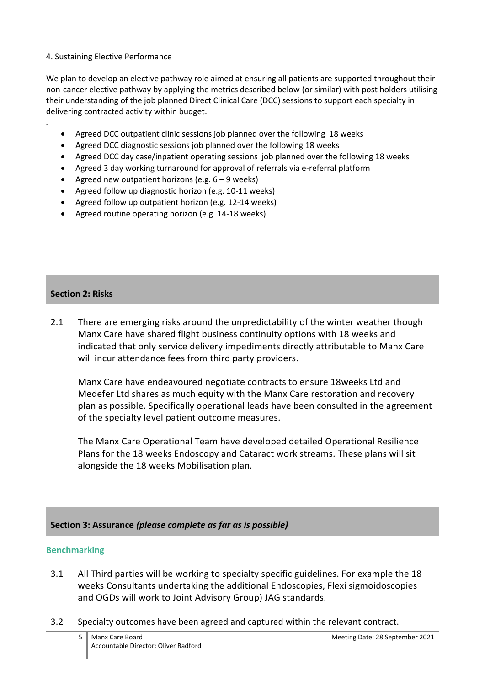### 4. Sustaining Elective Performance

We plan to develop an elective pathway role aimed at ensuring all patients are supported throughout their non-cancer elective pathway by applying the metrics described below (or similar) with post holders utilising their understanding of the job planned Direct Clinical Care (DCC) sessions to support each specialty in delivering contracted activity within budget.

- Agreed DCC outpatient clinic sessions job planned over the following 18 weeks
- Agreed DCC diagnostic sessions job planned over the following 18 weeks
- Agreed DCC day case/inpatient operating sessions job planned over the following 18 weeks
- Agreed 3 day working turnaround for approval of referrals via e-referral platform
- Agreed new outpatient horizons (e.g.  $6 9$  weeks)
- Agreed follow up diagnostic horizon (e.g. 10-11 weeks)
- Agreed follow up outpatient horizon (e.g. 12-14 weeks)
- Agreed routine operating horizon (e.g. 14-18 weeks)

# **Section 2: Risks**

*.*

2.1 There are emerging risks around the unpredictability of the winter weather though Manx Care have shared flight business continuity options with 18 weeks and indicated that only service delivery impediments directly attributable to Manx Care will incur attendance fees from third party providers.

Manx Care have endeavoured negotiate contracts to ensure 18weeks Ltd and Medefer Ltd shares as much equity with the Manx Care restoration and recovery plan as possible. Specifically operational leads have been consulted in the agreement of the specialty level patient outcome measures.

The Manx Care Operational Team have developed detailed Operational Resilience Plans for the 18 weeks Endoscopy and Cataract work streams. These plans will sit alongside the 18 weeks Mobilisation plan.

# **Section 3: Assurance** *(please complete as far as is possible)*

# **Benchmarking**

- 3.1 All Third parties will be working to specialty specific guidelines. For example the 18 weeks Consultants undertaking the additional Endoscopies, Flexi sigmoidoscopies and OGDs will work to Joint Advisory Group) JAG standards.
- 3.2 Specialty outcomes have been agreed and captured within the relevant contract.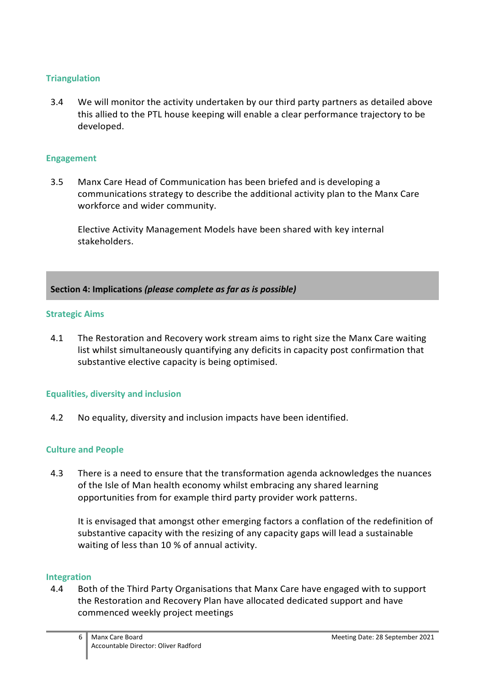# **Triangulation**

3.4 We will monitor the activity undertaken by our third party partners as detailed above this allied to the PTL house keeping will enable a clear performance trajectory to be developed.

### **Engagement**

3.5 Manx Care Head of Communication has been briefed and is developing a communications strategy to describe the additional activity plan to the Manx Care workforce and wider community.

Elective Activity Management Models have been shared with key internal stakeholders.

### **Section 4: Implications** *(please complete as far as is possible)*

### **Strategic Aims**

4.1 The Restoration and Recovery work stream aims to right size the Manx Care waiting list whilst simultaneously quantifying any deficits in capacity post confirmation that substantive elective capacity is being optimised.

### **Equalities, diversity and inclusion**

4.2 No equality, diversity and inclusion impacts have been identified.

### **Culture and People**

4.3 There is a need to ensure that the transformation agenda acknowledges the nuances of the Isle of Man health economy whilst embracing any shared learning opportunities from for example third party provider work patterns.

It is envisaged that amongst other emerging factors a conflation of the redefinition of substantive capacity with the resizing of any capacity gaps will lead a sustainable waiting of less than 10 % of annual activity.

### **Integration**

4.4 Both of the Third Party Organisations that Manx Care have engaged with to support the Restoration and Recovery Plan have allocated dedicated support and have commenced weekly project meetings